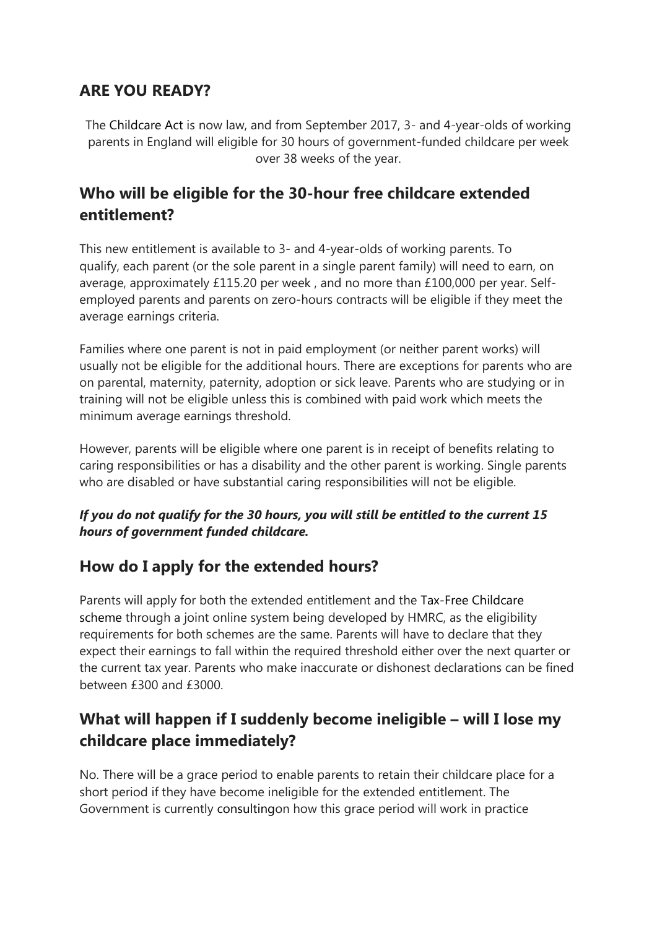### **ARE YOU READY?**

The [Childcare Act](http://services.parliament.uk/bills/2015-16/childcare.html) is now law, and from September 2017, 3- and 4-year-olds of working parents in England will eligible for 30 hours of government-funded childcare per week over 38 weeks of the year.

## **Who will be eligible for the 30-hour free childcare extended entitlement?**

This new entitlement is available to 3- and 4-year-olds of working parents. To qualify, each parent (or the sole parent in a single parent family) will need to earn, on average, approximately £115.20 per week , and no more than £100,000 per year. Selfemployed parents and parents on zero-hours contracts will be eligible if they meet the average earnings criteria.

Families where one parent is not in paid employment (or neither parent works) will usually not be eligible for the additional hours. There are exceptions for parents who are on parental, maternity, paternity, adoption or sick leave. Parents who are studying or in training will not be eligible unless this is combined with paid work which meets the minimum average earnings threshold.

However, parents will be eligible where one parent is in receipt of benefits relating to caring responsibilities or has a disability and the other parent is working. Single parents who are disabled or have substantial caring responsibilities will not be eligible.

#### *If you do not qualify for the 30 hours, you will still be entitled to the current 15 hours of government funded childcare.*

### **How do I apply for the extended hours?**

Parents will apply for both the extended entitlement and the [Tax-Free Childcare](https://www.gov.uk/government/news/tax-free-childcare-10-things-parents-should-know)  [scheme](https://www.gov.uk/government/news/tax-free-childcare-10-things-parents-should-know) through a joint online system being developed by HMRC, as the eligibility requirements for both schemes are the same. Parents will have to declare that they expect their earnings to fall within the required threshold either over the next quarter or the current tax year. Parents who make inaccurate or dishonest declarations can be fined between £300 and £3000.

# **What will happen if I suddenly become ineligible – will I lose my childcare place immediately?**

No. There will be a grace period to enable parents to retain their childcare place for a short period if they have become ineligible for the extended entitlement. The Government is currently [consultingo](https://consult.education.gov.uk/early-years-funding/childcare-free-entitlement)n how this grace period will work in practice